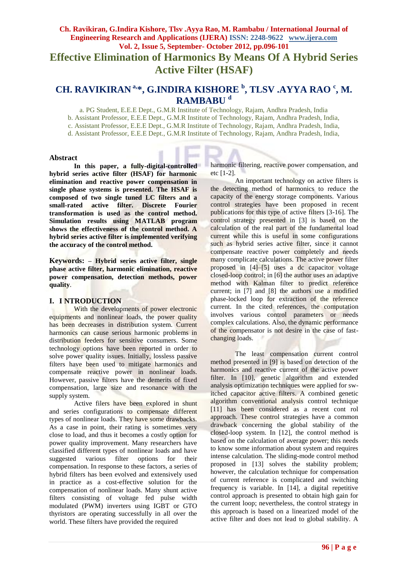# **Ch. Ravikiran, G.Indira Kishore, Tlsv .Ayya Rao, M. Rambabu / International Journal of Engineering Research and Applications (IJERA) ISSN: 2248-9622 www.ijera.com Vol. 2, Issue 5, September- October 2012, pp.096-101 Effective Elimination of Harmonics By Means Of A Hybrid Series**

# **Active Filter (HSAF)**

# **CH. RAVIKIRAN a,\* , G.INDIRA KISHORE <sup>b</sup> , TLSV .AYYA RAO <sup>c</sup> , M. RAMBABU <sup>d</sup>**

a. PG Student, E.E.E Dept., G.M.R Institute of Technology, Rajam, Andhra Pradesh, India

b. Assistant Professor, E.E.E Dept., G.M.R Institute of Technology, Rajam, Andhra Pradesh, India,

c. Assistant Professor, E.E.E Dept., G.M.R Institute of Technology, Rajam, Andhra Pradesh, India,

d. Assistant Professor, E.E.E Dept., G.M.R Institute of Technology, Rajam, Andhra Pradesh, India,

#### **Abstract**

**In this paper, a fully-digital-controlled hybrid series active filter (HSAF) for harmonic elimination and reactive power compensation in single phase systems is presented. The HSAF is composed of two single tuned LC filters and a small-rated active filter. Discrete Fourier transformation is used as the control method. Simulation results using MATLAB program shows the effectiveness of the control method. A hybrid series active filter is implemented verifying the accuracy of the control method.** 

**Keywords: – Hybrid series active filter, single phase active filter, harmonic elimination, reactive power compensation, detection methods, power quality**.

#### **I. I NTRODUCTION**

With the developments of power electronic equipments and nonlinear loads, the power quality has been decreases in distribution system. Current harmonics can cause serious harmonic problems in distribution feeders for sensitive consumers. Some technology options have been reported in order to solve power quality issues. Initially, lossless passive filters have been used to mitigate harmonics and compensate reactive power in nonlinear loads. However, passive filters have the demerits of fixed compensation, large size and resonance with the supply system.

Active filers have been explored in shunt and series configurations to compensate different types of nonlinear loads. They have some drawbacks. As a case in point, their rating is sometimes very close to load, and thus it becomes a costly option for power quality improvement. Many researchers have classified different types of nonlinear loads and have suggested various filter options for their compensation. In response to these factors, a series of hybrid filters has been evolved and extensively used in practice as a cost-effective solution for the compensation of nonlinear loads. Many shunt active filters consisting of voltage fed pulse width modulated (PWM) inverters using IGBT or GTO thyristors are operating successfully in all over the world. These filters have provided the required

harmonic filtering, reactive power compensation, and etc [1-2].

An important technology on active filters is the detecting method of harmonics to reduce the capacity of the energy storage components. Various control strategies have been proposed in recent publications for this type of active filters [3-16]. The control strategy presented in [3] is based on the calculation of the real part of the fundamental load current while this is useful in some configurations such as hybrid series active filter, since it cannot compensate reactive power completely and needs many complicate calculations. The active power filter proposed in [4]–[5] uses a dc capacitor voltage closed-loop control; in [6] the author uses an adaptive method with Kalman filter to predict reference current; in [7] and [8] the authors use a modified phase-locked loop for extraction of the reference current. In the cited references, the computation involves various control parameters or needs complex calculations. Also, the dynamic performance of the compensator is not desire in the case of fastchanging loads.

The least compensation current control method presented in [9] is based on detection of the harmonics and reactive current of the active power filter. In [10], genetic algorithm and extended analysis optimization techniques were applied for switched capacitor active filters. A combined genetic algorithm conventional analysis control technique [11] has been considered as a recent cont rol approach. These control strategies have a common drawback concerning the global stability of the closed-loop system. In [12], the control method is based on the calculation of average power; this needs to know some information about system and requires intense calculation. The sliding-mode control method proposed in [13] solves the stability problem; however, the calculation technique for compensation of current reference is complicated and switching frequency is variable. In [14], a digital repetitive control approach is presented to obtain high gain for the current loop; nevertheless, the control strategy in this approach is based on a linearized model of the active filter and does not lead to global stability. A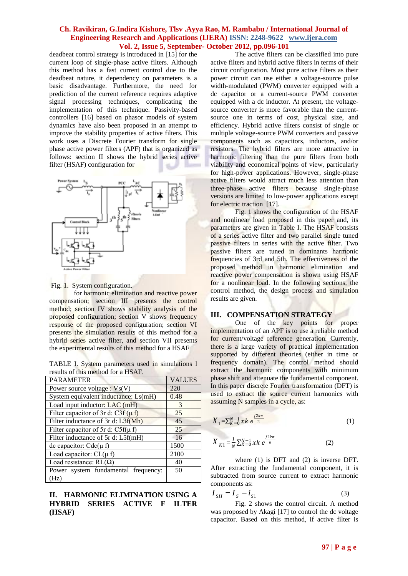deadbeat control strategy is introduced in [15] for the current loop of single-phase active filters. Although this method has a fast current control due to the deadbeat nature, it dependency on parameters is a basic disadvantage. Furthermore, the need for prediction of the current reference requires adaptive signal processing techniques, complicating the implementation of this technique. Passivity-based controllers [16] based on phasor models of system dynamics have also been proposed in an attempt to improve the stability properties of active filters. This work uses a Discrete Fourier transform for single phase active power filters (APF) that is organized as follows: section II shows the hybrid series active filter (HSAF) configuration for



Fig. 1. System configuration.

for harmonic elimination and reactive power compensation; section III presents the control method; section IV shows stability analysis of the proposed configuration; section V shows frequency response of the proposed configuration; section VI presents the simulation results of this method for a hybrid series active filter, and section VII presents the experimental results of this method for a HSAF

TABLE I. System parameters used in simulations l results of this method for a HSAF.

| <b>PARAMETER</b>                         | <b>VALUES</b> |
|------------------------------------------|---------------|
| Power source voltage : $V_s(V)$          | 220           |
| System equivalent inductance: Ls(mH)     | 0.48          |
| Load input inductor: LAC (mH)            | $\mathcal{F}$ |
| Filter capacitor of 3r d: C3f ( $\mu$ f) | 25            |
| Filter inductance of 3r d: L3f(Mh)       | 45            |
| Filter capacitor of 5r d: $C5f(\mu f)$   | 25            |
| Filter inductance of 5r d: L5f(mH)       | 16            |
| de capacitor: $Cdc(\mu f)$               | 1500          |
| Load capacitor: $CL(\mu f)$              | 2100          |
| Load resistance: $RL(\Omega)$            | 40            |
| Power system fundamental frequency:      | 50            |
| (Hz)                                     |               |

# **II. HARMONIC ELIMINATION USING A HYBRID SERIES ACTIVE F ILTER (HSAF)**

The active filters can be classified into pure active filters and hybrid active filters in terms of their circuit configuration. Most pure active filters as their power circuit can use either a voltage-source pulse width-modulated (PWM) converter equipped with a dc capacitor or a current-source PWM converter equipped with a dc inductor. At present, the voltagesource converter is more favorable than the currentsource one in terms of cost, physical size, and efficiency. Hybrid active filters consist of single or multiple voltage-source PWM converters and passive components such as capacitors, inductors, and/or resistors. The hybrid filters are more attractive in harmonic filtering than the pure filters from both viability and economical points of view, particularly for high-power applications. However, single-phase active filters would attract much less attention than three-phase active filters because single-phase versions are limited to low-power applications except for electric traction [17].

Fig. 1 shows the configuration of the HSAF and nonlinear load proposed in this paper and, its parameters are given in Table I. The HSAF consists of a series active filter and two parallel single tuned passive filters in series with the active filter. Two passive filters are tuned in dominants harmonic frequencies of 3rd and 5th. The effectiveness of the proposed method in harmonic elimination and reactive power compensation is shown using HSAF for a nonlinear load. In the following sections, the control method, the design process and simulation results are given.

# **III. COMPENSATION STRATEGY**

One of the key points for proper implementation of an APF is to use a reliable method for current/voltage reference generation. Currently, there is a large variety of practical implementation supported by different theories (either in time or frequency domain). The control method should extract the harmonic components with minimum phase shift and attenuate the fundamental component. In this paper discrete Fourier transformation (DFT) is used to extract the source current harmonics with assuming N samples in a cycle, as:

$$
X_1 = \sum_{k=0}^{N-1} xk \, e^{\frac{j2k\pi}{n}}
$$
 (1)

$$
X_{K1} = \frac{1}{N} \sum_{K=0}^{N-1} \chi k \ e^{\frac{j2k\pi}{n}} \tag{2}
$$

where (1) is DFT and (2) is inverse DFT. After extracting the fundamental component, it is subtracted from source current to extract harmonic components as:

$$
I_{SH} = I_S - i_{S1} \tag{3}
$$

Fig. 2 shows the control circuit. A method was proposed by Akagi [17] to control the dc voltage capacitor. Based on this method, if active filter is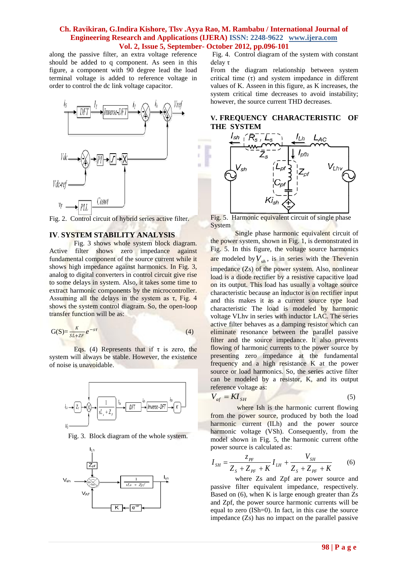ú.

along the passive filter, an extra voltage reference should be added to q component. As seen in this figure, a component with 90 degree lead the load terminal voltage is added to reference voltage in order to control the dc link voltage capacitor.



Fig. 2. Control circuit of hybrid series active filter.

### **IV**. **SYSTEM STABILITY ANALYSIS**

Fig. 3 shows whole system block diagram. Active filter shows zero impedance against fundamental component of the source current while it shows high impedance against harmonics. In Fig. 3, analog to digital converters in control circuit give rise to some delays in system. Also, it takes some time to extract harmonic components by the microcontroller. Assuming all the delays in the system as  $\tau$ , Fig. 4 shows the system control diagram. So, the open-loop transfer function will be as:

$$
G(S) = \frac{K}{SL + ZF} e^{-ST}
$$
 (4)

Eqs. (4) Represents that if  $\tau$  is zero, the system will always be stable. However, the existence of noise is unavoidable.



Fig. 3. Block diagram of the whole system.



Fig. 4. Control diagram of the system with constant delay τ

From the diagram relationship between system critical time  $(\tau)$  and system impedance in different values of K. Asseen in this figure, as K increases, the system critical time decreases to avoid instability; however, the source current THD decreases.

# **V. FREQUENCY CHARACTERISTIC OF THE SYSTEM**



Fig. 5. Harmonic equivalent circuit of single phase System

Single phase harmonic equivalent circuit of the power system, shown in Fig. 1, is demonstrated in Fig. 5. In this figure, the voltage source harmonics are modeled by  $V_{sh}$ , is in series with the Thevenin impedance (Zs) of the power system. Also, nonlinear load is a diode rectifier by a resistive capacitive load on its output. This load has usually a voltage source characteristic because an inductor is on rectifier input and this makes it as a current source type load characteristic The load is modeled by harmonic voltage VLhv in series with inductor LAC. The series active filter behaves as a damping resistor which can eliminate resonance between the parallel passive filter and the source impedance. It also prevents flowing of harmonic currents to the power source by presenting zero impedance at the fundamental frequency and a high resistance K at the power source or load harmonics. So, the series active filter can be modeled by a resistor, K, and its output reference voltage as:

$$
V_{af} = K I_{SH} \tag{5}
$$

where Ish is the harmonic current flowing from the power source, produced by both the load harmonic current (ILh) and the power source harmonic voltage (VSh). Consequently, from the model shown in Fig. 5, the harmonic current ofthe power source is calculated as:

$$
I_{SH} = \frac{Z_{PF}}{Z_S + Z_{PF} + K} I_{LH} + \frac{V_{SH}}{Z_S + Z_{PF} + K}
$$
 (6)

where Zs and Zpf are power source and passive filter equivalent impedance, respectively. Based on (6), when K is large enough greater than Zs and Zpf, the power source harmonic currents will be equal to zero (ISh=0). In fact, in this case the source impedance (Zs) has no impact on the parallel passive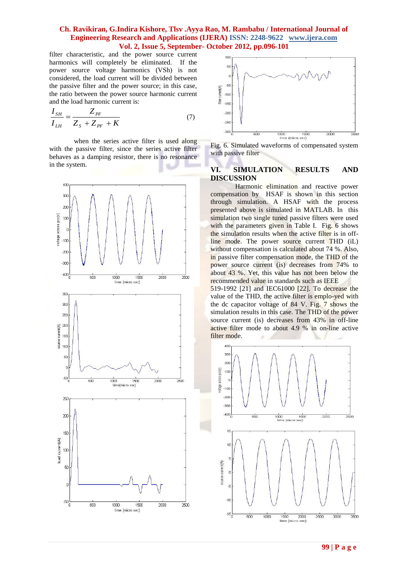filter characteristic, and the power source current harmonics will completely be eliminated. If the power source voltage harmonics (VSh) is not considered, the load current will be divided between the passive filter and the power source; in this case, the ratio between the power source harmonic current and the load harmonic current is:

$$
\frac{I_{SH}}{I_{LH}} = \frac{Z_{PF}}{Z_{S} + Z_{PF} + K}
$$
(7)

when the series active filter is used along with the passive filter, since the series active filter behaves as a damping resistor, there is no resonance in the system.





Fig. 6. Simulated waveforms of compensated system with passive filter

#### **VI. SIMULATION RESULTS AND DISCUSSION**

Harmonic elimination and reactive power compensation by HSAF is shown in this section through simulation. A HSAF with the process presented above is simulated in MATLAB. In this simulation two single tuned passive filters were used with the parameters given in Table I. Fig. 6 shows the simulation results when the active filter is in offline mode. The power source current THD (iL) without compensation is calculated about 74 %. Also, in passive filter compensation mode, the THD of the power source current (is) decreases from 74% to about 43 %. Yet, this value has not been below the recommended value in standards such as IEEE

519-1992 [21] and IEC61000 [22]. To decrease the value of the THD, the active filter is emplo-yed with the dc capacitor voltage of 84 V. Fig. 7 shows the simulation results in this case. The THD of the power source current (is) decreases from 43% in off-line active filter mode to about 4.9 % in on-line active filter mode.

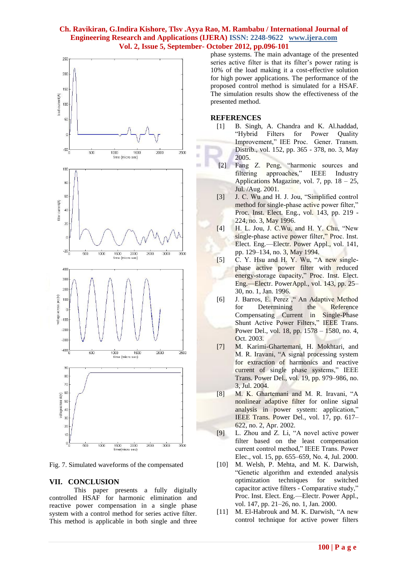×

ü



Fig. 7. Simulated waveforms of the compensated

#### **VII. CONCLUSION**

This paper presents a fully digitally controlled HSAF for harmonic elimination and reactive power compensation in a single phase system with a control method for series active filter. This method is applicable in both single and three phase systems. The main advantage of the presented series active filter is that its filter's power rating is 10% of the load making it a cost-effective solution for high power applications. The performance of the proposed control method is simulated for a HSAF. The simulation results show the effectiveness of the presented method.

#### **REFERENCES**

- [1] B. Singh, A. Chandra and K. Al.haddad, "Hybrid Filters for Power Quality Improvement," IEE Proc. Gener. Transm. Distrib., vol. 152, pp. 365 - 378, no. 3, May 2005.
- [2] Fang Z. Peng, "harmonic sources and filtering approaches," IEEE Industry Applications Magazine, vol. 7, pp. 18 – 25, Jul. /Aug. 2001.
- [3] J. C. Wu and H. J. Jou, "Simplified control method for single-phase active power filter," Proc. Inst. Elect. Eng., vol. 143, pp. 219 - 224, no. 3, May 1996.
- $[4]$  H. L. Jou, J. C.Wu, and H. Y. Chu, "New single-phase active power filter," Proc. Inst. Elect. Eng.—Electr. Power Appl., vol. 141, pp. 129–134, no. 3, May 1994.
- $[5]$  C. Y. Hsu and H. Y. Wu, "A new singlephase active power filter with reduced energy-storage capacity," Proc. Inst. Elect. Eng.—Electr. PowerAppl., vol. 143, pp. 25– 30, no. 1, Jan. 1996.
- [6] J. Barros, E. Perez ," An Adaptive Method for Determining the Reference Compensating Current in Single-Phase Shunt Active Power Filters," IEEE Trans. Power Del., vol. 18, pp. 1578 – 1580, no. 4, Oct. 2003.
- [7] M. Karimi-Ghartemani, H. Mokhtari, and M. R. Iravani, "A signal processing system for extraction of harmonics and reactive current of single phase systems," IEEE Trans. Power Del., vol. 19, pp. 979–986, no. 3, Jul. 2004.
- [8] M. K. Ghartemani and M. R. Iravani, "A nonlinear adaptive filter for online signal analysis in power system: application," IEEE Trans. Power Del., vol. 17, pp. 617– 622, no. 2, Apr. 2002.
- [9] L. Zhou and Z. Li, "A novel active power filter based on the least compensation current control method," IEEE Trans. Power Elec., vol. 15, pp. 655–659, No. 4, Jul. 2000.
- [10] M. Welsh, P. Mehta, and M. K. Darwish, ―Genetic algorithm and extended analysis optimization techniques for switched capacitor active filters - Comparative study," Proc. Inst. Elect. Eng.—Electr. Power Appl., vol. 147, pp. 21–26, no. 1, Jan. 2000.
- [11] M. El-Habrouk and M. K. Darwish, "A new control technique for active power filters